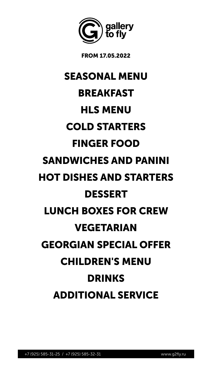

FROM 17.05.2022



## SEASONAL MENU

## BREAKFAST

## HLS MENU

## COLD STARTERS

## FINGER FOOD SANDWICHES AND PANINI

# HOT DISHES AND STARTERS DESSERT LUNCH BOXES FOR CREW VEGETARIAN GEORGIAN SPECIAL OFFER CHILDREN'S MENU DRINKS ADDITIONAL SERVICE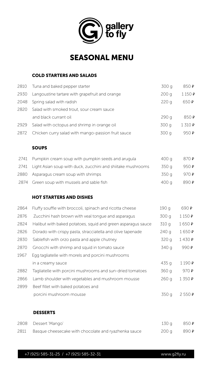



### SEASONAL MENU

### COLD STARTERS AND SALADS

| 2810 | Tuna and baked pepper starter                      | 300 g | 850 P   |
|------|----------------------------------------------------|-------|---------|
| 2930 | Langoustine tartare with grapefruit and orange     | 200q  | 1150P   |
| 2048 | Spring salad with radish                           | 220q  | 650 P   |
| 2820 | Salad with smoked trout, sour cream sauce          |       |         |
|      | and black currant oil                              | 290q  | 850P    |
| 2929 | Salad with octopus and shrimp in orange oil        | 300 g | 1310P   |
| 2872 | Chicken curry salad with mango-passion fruit sauce | 300 g | 950 $P$ |

### SOUPS

| 2741 Pumpkin cream soup with pumpkin seeds and arugula           | 400 g 870 P         |  |
|------------------------------------------------------------------|---------------------|--|
| 2741 Light Asian soup with duck, zucchini and shiitake mushrooms | 350 g 950 P         |  |
| 2880 Asparagus cream soup with shrimps                           | $350q$ 970 <b>P</b> |  |

2874 Green soup with mussels and sable fish  $400 g$  890  $\epsilon$ 

### HOT STARTERS AND DISHES

| 2864 | Fluffy souffle with broccoli, spinach and ricotta cheese     | 190 g            | 690 P |
|------|--------------------------------------------------------------|------------------|-------|
| 2876 | Zucchini hash brown with veal tongue and asparagus           | 300 g            | 1150P |
| 2824 | Halibut with baked potatoes, squid and green asparagus sauce | 310 g            | 1650P |
| 2826 | Dorado with crispy pasta, stracciatella and olive tapenade   | 240q             | 1650P |
| 2830 | Sablefish with orzo pasta and apple chutney                  | 320 g            | 1430P |
| 2870 | Gnocchi with shrimp and squid in tomato sauce                | 340 g            | 990 P |
| 1967 | Egg tagliatelle with morels and porcini mushrooms            |                  |       |
|      | in a creamy sauce                                            | 435 g            | 1190P |
| 2882 | Tagliatelle with porcini mushrooms and sun-dried tomatoes    | 360 g            | 970P  |
| 2866 | Lamb shoulder with vegetables and mushroom mousse            | 260q             | 1350P |
| 2899 | Beef fillet with baked potatoes and                          |                  |       |
|      | porcini mushroom mousse                                      | 350 g            | 2550P |
|      | <b>DESSERTS</b>                                              |                  |       |
| 2808 | Dessert 'Mango'                                              | 130 <sub>q</sub> | 850 P |
| 2811 | Basque cheesecake with chocolate and ryazhenka sauce         | 200q             | 890 P |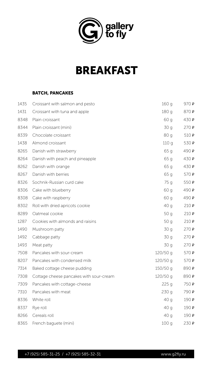

### BATCH, PANCAKES

| 1435 | Croissant with salmon and pesto         | 160q       | 970P  |
|------|-----------------------------------------|------------|-------|
| 1431 | Croissant with tuna and apple           | 180 g      | 870 P |
| 8348 | Plain croissant                         | 60 g       | 430P  |
| 8344 | Plain croissant (mini)                  | 30q        | 270P  |
| 8339 | Chocolate croissant                     | 80 g       | 510P  |
| 1438 | Almond croissant                        | 110q       | 530P  |
| 8265 | Danish with strawberry                  | 65q        | 490P  |
| 8264 | Danish with peach and pineapple         | 65q        | 430P  |
| 8262 | Danish with orange                      | 65q        | 430P  |
| 8267 | Danish with berries                     | 65q        | 570P  |
| 8326 | Sochnik-Russian curd cake               | 75 g       | 550P  |
| 8306 | Cake with blueberry                     | 60 g       | 490P  |
| 8308 | Cake with raspberry                     | 60 g       | 490P  |
| 8302 | Roll with dried apricots cookie         | 40q        | 210P  |
| 8289 | Oatmeal cookie                          | 50g        | 210P  |
| 1287 | Cookies with almonds and raisins        | 50q        | 210P  |
| 1490 | Mushroom patty                          | 30q        | 270P  |
| 1492 | Cabbage patty                           | 30q        | 270P  |
| 1493 | Meat patty                              | 30q        | 270P  |
| 7508 | Pancakes with sour-cream                | $120/50$ g | 570P  |
| 8207 | Pancakes with condensed milk            | $120/50$ g | 570P  |
| 7314 | Baked cottage cheese pudding            | $150/50$ g | 890 P |
| 7308 | Cottage cheese pancakes with sour-cream | 120/50 g   | 890 P |
| 7309 | Pancakes with cottage-cheese            | 225q       | 750 P |
| 7310 | Pancakes with meat                      | 230q       | 790 P |
| 8336 | White roll                              | 40q        | 190P  |
| 8337 | Rye roll                                | 40q        | 190P  |
| 8266 | Cereals roll                            | 40q        | 190P  |
| 8365 | French baguete (mini)                   | 100q       | 230P  |



## BREAKFAST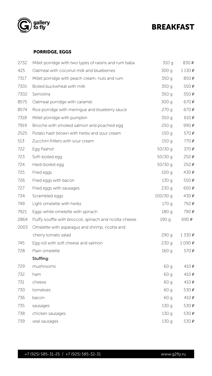



### BREAKFAST

### PORRIDGE, EGGS

| 2732 | Millet porridge with two types of raisins and rum baba | 310 g     | 830 P |
|------|--------------------------------------------------------|-----------|-------|
| 425  | Oatmeal with coconut milk and blueberries              | 300 g     | 1130P |
| 7317 | Millet porridge with peach cream, nuts and rum         | 350 g     | 850 P |
| 7301 | Boiled buckwheat with milk                             | 350 g     | 550P  |
| 7302 | Semolina                                               | 350 g     | 550P  |
| 8575 | Oatmeal porridge with caramel                          | 300 g     | 670P  |
| 8574 | Rice porridge with meringue and blueberry sauce        | 270q      | 670P  |
| 7318 | Millet porridge with pumpkin                           | 350 g     | 610P  |
| 7919 | Brioche with smoked salmon and poached egg             | 250q      | 990 P |
| 2525 | Potato hash brown with herbs and sour cream            | 150q      | 570P  |
| 513  | Zucchini fritters with sour cream                      | 150q      | 770P  |
| 722  | Egg Pashot                                             | 50/30 g   | 370 P |
| 723  | Soft-boiled egg                                        | $50/30$ g | 250P  |
| 724  | Hard-boiled egg                                        | 50/30q    | 250P  |
| 725  | Fried eggs                                             | 100q      | 430 P |

| 726  | Fried eggs with bacon                                    | 130 g      | 550P  |
|------|----------------------------------------------------------|------------|-------|
| 727  | Fried eggs with sausages                                 | 230q       | 650P  |
| 734  | Scrambled eggs                                           | $100/30$ g | 430P  |
| 749  | Light omelette with herbs                                | 170q       | 750 P |
| 7921 | Eggs-white omelette with spinach                         | 180 g      | 790 P |
| 2864 | Fluffy souffle with broccoli, spinach and ricotta cheese | 190q       | 690 P |
| 2003 | Omelette with asparagus and shrimp, ricotta and          |            |       |
|      | cherry tomato salad                                      | 290 g      | 1330P |
| 745  | Egg roll with soft cheese and salmon                     | 230q       | 1090P |
| 728  | Plain omelette                                           | 160q       | 570P  |
|      | Stuffing:                                                |            |       |
| 729  | mushrooms                                                | 60 g       | 410P  |
| 732  | ham                                                      | 60 g       | 410P  |
| 731  | cheese                                                   | 60 g       | 410P  |
| 730  | tomatoes                                                 | 60 g       | 530 P |
| 736  | bacon                                                    | 60 g       | 410P  |
| 735  | sausages                                                 | 130g       | 530 P |
| 738  | chicken sausages                                         | 130g       | 530 P |
| 739  | veal sausages                                            | 130q       | 530P  |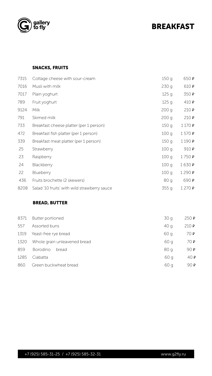



### BREAKFAST

### SNACKS, FRUITS

| 7315 | Cottage cheese with sour-cream              | 150q  | 650 P  |
|------|---------------------------------------------|-------|--------|
| 7016 | Musli with milk                             | 230q  | 610 P  |
| 7017 | Plain yoghurt                               | 125q  | 350 P  |
| 789  | Fruit yoghurt                               | 125q  | 410P   |
| 9124 | <b>Milk</b>                                 | 200q  | 210P   |
| 791  | Skimed milk                                 | 200q  | 210P   |
| 733  | Breakfast cheese platter (per 1 person)     | 150q  | 1170P  |
| 472  | Breakfast fish platter (per 1 person)       | 100q  | 1570P  |
| 339  | Breakfast meat platter (per 1 person)       | 150q  | 1190P  |
| 25   | Strawberry                                  | 100q  | 910 P  |
| 23   | Raspberry                                   | 100q  | 1750P  |
| 24   | Blackberry                                  | 100q  | 1630 P |
| 22   | Blueberry                                   | 100q  | 1290₽  |
| 436  | Fruits brochette (2 skewers)                | 80 g  | 690 P  |
| 8208 | Salad 10 fruits' with wild strawberry sauce | 355 g | 1270P  |
|      | <b>BREAD, BUTTER</b>                        |       |        |
| 8371 | Butter portioned                            | 30q   | 250P   |
| 557  | Assorted buns                               | 40q   | 210P   |
| 1319 | Yeast-free rye bread                        | 60 g  | 70P    |
| 1320 | Whole grain unleavened bread                | 60 g  | 70P    |
| 859  | <b>Borodino</b><br>bread                    | 80 g  | 90P    |
| 1285 | Ciabatta                                    | 60 g  | 40P    |
| 860  | Green buckwheat bread                       | 60 g  | 90 P   |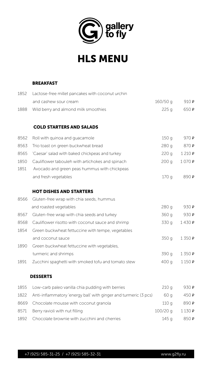



## HLS MENU

### BREAKFAST

| 8566 | Gluten-free wrap with chia seeds, hummus            |       |       |
|------|-----------------------------------------------------|-------|-------|
|      | and roasted vegetables                              | 280 g | 930 P |
| 8567 | Gluten-free wrap with chia seeds and turkey         | 360 g | 930 P |
| 8568 | Cauliflower risotto with coconut sauce and shrimp   | 330 g | 1430P |
| 1854 | Green buckwheat fettuccine with tempe, vegetables   |       |       |
|      | and coconut sauce                                   | 350 g | 1350P |
| 1890 | Green buckwheat fettuccine with vegetables,         |       |       |
|      | turmeric and shrimps                                | 390 g | 1350P |
| 1891 | Zucchini spaghetti with smoked tofu and tomato stew | 400 g | 1150P |
|      |                                                     |       |       |

#### **DESSERTS**

| 1855 Low-carb paleo vanilla chia pudding with berries               | 210q     | 930P  |
|---------------------------------------------------------------------|----------|-------|
| 1822 Anti-inflammatory energy ball with ginger and turmeric (3 pcs) | 60 a     | 450P  |
| 8669 Chocolate mousse with coconut granola                          | 110 a    | 890 P |
| 8571 Berry ravioli with nut filling                                 | 100/20 g | 1130P |
| 1892 Chocolate brownie with zucchini and cherries                   | 145 a    | 850P  |

| 1852 | Lactose-free millet pancakes with coconut urchin |         |       |  |
|------|--------------------------------------------------|---------|-------|--|
|      | and cashew sour cream                            | 160/50q | 910P  |  |
| 1888 | Wild berry and almond milk smoothies             | 225q    | 650P  |  |
|      |                                                  |         |       |  |
|      | <b>COLD STARTERS AND SALADS</b>                  |         |       |  |
| 8562 | Roll with quinoa and quacamole                   | 150q    | 970P  |  |
| 8563 | Trio toast on green buckwheat bread              | 280 g   | 870 P |  |
| 8565 | 'Caesar' salad with baked chickpeas and turkey   | 220q    | 1210P |  |
| 1850 | Cauliflower tabouleh with artichokes and spinach | 200q    | 1070P |  |
| 1851 | Avocado and green peas hummus with chickpeas     |         |       |  |
|      |                                                  |         |       |  |

| and fresh vegetables |  | 890 P |
|----------------------|--|-------|
|----------------------|--|-------|

### HOT DISHES AND STARTERS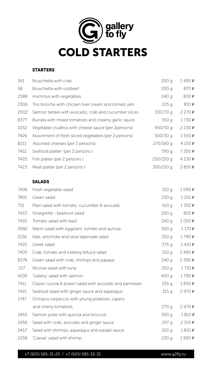

### STARTERS

| 341  | Bruschetta with crab                                  | 200q      | 1490P |
|------|-------------------------------------------------------|-----------|-------|
| 58   | Bruschetta with rostbeef                              | 200q      | 870₽  |
| 2588 | Hummus with vegetables                                | 240 g     | 830 P |
| 2306 | Trio brioche with chicken liver cream and tomato jam  | 225q      | 810 P |
| 2002 | Salmon tartare with avocado, crab and cucumber slices | 330/70 g  | 2270P |
| 8377 | Burrata with mixed tomatoes and creamy garlic sauce   | 350 g     | 1730P |
| 1032 | Vegetable cruditos with cheese sauce (per 2 persons)  | 450/50 g  | 2230P |
| 7426 | Assortment of fresh sliced vegetables (per 2 persons) | 500/30 g  | 1550P |
| 8211 | Assorted cheeses (per 2 persons)                      | 270/160 g | 4150P |
| 7412 | Seafood platter (per 2 persons)                       | 790 g     | 7350P |
| 7420 | Fish platter (per 2 persons)                          | 250/250 g | 4230P |
| 7423 | Meat platter (per 2 persons)                          | 300/150 g | 3850P |

### SALADS

| 7406 | Fresh vegetable salad                                  | 310 g | 1090P         |
|------|--------------------------------------------------------|-------|---------------|
| 7801 | Green salad                                            | 230q  | 1150P         |
| 751  | Plain salad with tomato, cucumber & avocado            | 410q  | 1350P         |
| 7433 | Vinaigrette - beetroot salad                           | 200q  | 850 P         |
| 7419 | Tomato salad with basil                                | 240q  | 1050P         |
| 2682 | Warm salad with eggplant, tomato and quinoa            | 300 g | 1170P         |
| 2136 | Kale, artichoke and olive tapenade salad               | 250q  | 1790P         |
| 7425 | Greek salad                                            | 375 g | 1410P         |
| 7405 | Crab, tomato and iceberg lettuce salad                 | 310 g | 2490P         |
| 8376 | Green salad with crab, shrimps and papaya              | 240q  | 2390P         |
| 517  | Nicoise salad with tuna                                | 250g  | 1710P         |
| 4106 | Gallery' salad with salmon                             | 400 g | 1790P         |
| 7411 | Classic rucola & prawn salad with avocado and parmesan | 255q  | 1830 P        |
| 7415 | Seafood salad with ginger sauce and asparagus          | 315q  | 2470P         |
| 1747 | Octopus carpaccio with young potatoes, capers          |       |               |
|      | and cherry tomatoes                                    | 270q  | 2470P         |
| 2455 | Salmon poke with quinoa and broccoli                   | 390 g | 1810 <b>P</b> |
| 2456 | Salad with crab, avocado and ginger sauce              | 297 g | 2150P         |
| 2457 | Salad with shrimps, asparagus and wasabi sauce         | 320 g | 1810P         |
| 2258 | Caesar' salad with shrimp                              | 230q  | 1990P         |

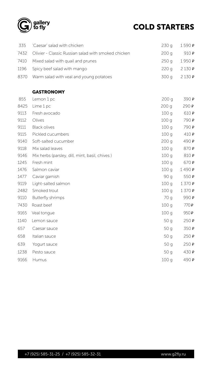



## COLD STARTERS

| 335 Caesar' salad with chicken                           | $230q + 1590P$            |                  |
|----------------------------------------------------------|---------------------------|------------------|
| 7432 Olivier - Classic Russian salad with smoked chicken | 200 g                     | 910 $\mathsf{P}$ |
| 7410 Mixed salad with quail and prunes                   | $250q$ 1950 $\,$ <b>P</b> |                  |
| 1196 Spicy beef salad with mango                         | $220q$ $2130P$            |                  |
| 8370 Warm salad with veal and young potatoes             |                           | $300q$ $2130P$   |

### GASTRONOMY

| 855  | Lemon 1 pc                                     | 200 g            | 390 P |
|------|------------------------------------------------|------------------|-------|
| 8425 | Lime 1 pc                                      | 200q             | 290P  |
| 9113 | Fresh avocado                                  | 100q             | 610P  |
| 9112 | Olives                                         | 100q             | 790 P |
| 9111 | <b>Black olives</b>                            | 100q             | 790 P |
| 9115 | Pickled cucumbers                              | 100q             | 410P  |
| 9140 | Soft-salted cucumber                           | 200q             | 490 P |
| 9118 | Mix salad leaves                               | 100q             | 870₽  |
| 9146 | Mix herbs (parsley, dill, mint, basil, chives) | 100q             | 810 P |
| 1245 | Fresh mint                                     | 100q             | 670P  |
| 1476 | Salmon caviar                                  | 100q             | 1490P |
| 1477 | Caviar garnish                                 | 90 g             | 550P  |
| 9119 | Light-salted salmon                            | 100g             | 1370P |
| 2482 | Smoked trout                                   | 100q             | 1370P |
| 9110 | <b>Butterfly shrimps</b>                       | 70 g             | 990 P |
| 7430 | Roast beef                                     | 100q             | 770P  |
| 9165 | Veal tongue                                    | 100q             | 950P  |
| 1140 | Lemon sauce                                    | 50q              | 250P  |
| 657  | Caesar sauce                                   | 50q              | 350P  |
| 658  | Italian sauce                                  | 50g              | 250P  |
| 639  | Yogurt sauce                                   | 50q              | 250P  |
| 1238 | Pesto sauce                                    | 50q              | 430 P |
| 9166 | <b>Humus</b>                                   | 100 <sub>g</sub> | 490 P |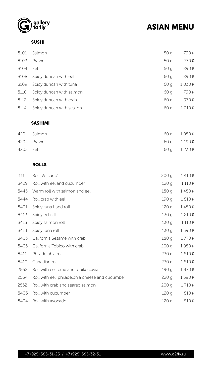



### ASIAN MENU

SUSHI

| 8101 | Salmon                    | 50q  | 790 P |
|------|---------------------------|------|-------|
| 8103 | Prawn                     | 50q  | 770P  |
| 8104 | Eel                       | 50q  | 890 P |
| 8108 | Spicy duncan with eel     | 60 g | 890 P |
| 8109 | Spicy duncan with tuna    | 60 g | 1030P |
| 8110 | Spicy duncan with salmon  | 60 g | 790 P |
| 8112 | Spicy duncan with crab    | 60 g | 970P  |
| 8114 | Spicy duncan with scallop | 60 g | 1010P |

### SASHIMI

|          | 4201 Salmon |                    | 60 g 1 050 P |
|----------|-------------|--------------------|--------------|
|          | 4204 Prawn  | 60 g 1190 <b>P</b> |              |
| 4203 Eel |             | 60 g 1 2 30 P      |              |

### ROLLS

| 111 Roll Volcano' | $200q + 1410P$ |
|-------------------|----------------|

| 工工工  | ROIL VOICANO                                    | ZUU Y | T <del>(</del> Terminal |
|------|-------------------------------------------------|-------|-------------------------|
| 8429 | Roll with eel and cucumber                      | 120q  | 1110P                   |
| 8445 | Warm roll with salmon and eel                   | 180 g | 1450P                   |
| 8444 | Roll crab with eel                              | 190 g | 1810P                   |
| 8401 | Spicy tuna hand roll                            | 120q  | 1450P                   |
| 8412 | Spicy eel roll                                  | 130q  | 1210P                   |
| 8413 | Spicy salmon roll                               | 130q  | 1110P                   |
| 8414 | Spicy tuna roll                                 | 130q  | 1390P                   |
| 8403 | California Sesame with crab                     | 180 g | 1770P                   |
| 8405 | California Tobico with crab                     | 200q  | 1950P                   |
| 8411 | Philadelphia roll                               | 230q  | 1810 <b>P</b>           |
| 8410 | Canadian roll                                   | 230 g | 1810P                   |
| 2562 | Roll with eel, crab and tobiko caviar           | 190 g | 1470P                   |
| 2564 | Roll with eel, philadelphia cheese and cucumber | 220q  | 1390P                   |
| 2552 | Roll with crab and seared salmon                | 200q  | 1710P                   |
| 8406 | Roll with cucumber                              | 120q  | 810 P                   |
| 8404 | Roll with avocado                               | 120g  | 810 P                   |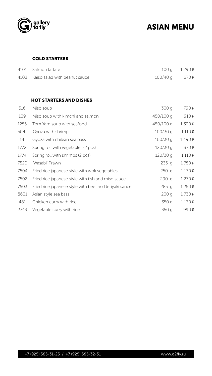



### ASIAN MENU

### COLD STARTERS

| 4101 Salmon tartare                |                         | $100q$ $1290P$ |
|------------------------------------|-------------------------|----------------|
| 4103 Kaiso salad with peanut sauce | $100/40$ q 670 <b>P</b> |                |

### HOT STARTERS AND DISHES

| 516  | Miso soup                                     | 300 g      | 790 P |
|------|-----------------------------------------------|------------|-------|
| 109  | Miso soup with kimchi and salmon              | 450/100 g  | 910P  |
| 1255 | Tom Yam soup with seafood                     | 450/100 g  | 1390P |
| 504  | Gyoza with shrimps                            | $100/30$ g | 1110P |
| 14   | Gyoza with chilean sea bass                   | $100/30$ g | 1490P |
| 1772 | Spring roll with vegetables (2 pcs)           | $120/30$ g | 870 P |
| 1774 | Spring roll with shrimps (2 pcs)              | $120/30$ g | 1110P |
| 7520 | 'Wasabi' Prawn                                | 235q       | 1750P |
| 7504 | Fried rice japanese style with wok vegetables | 250q       | 1130P |

| 7502 Fried rice japanese style with fish and miso sauce     | $290 \text{ q}$ $1270 \text{ P}$ |
|-------------------------------------------------------------|----------------------------------|
| 7503 Fried rice japanese style with beef and teriyaki sauce | $285 \text{ q}$ 1250 P           |
| 8601 Asian style sea bass                                   | $200q + 1730P$                   |
| 481 Chicken curry with rice                                 | $350q$ 1130 P                    |
| 2743 Vegetable curry with rice                              | 350 g 990 P                      |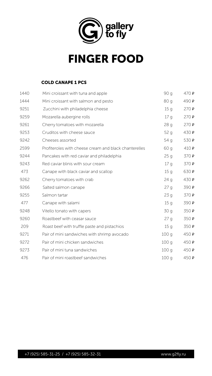

### COLD CANAPE 1 PCS

| 1440 | Mini croissant with tuna and apple                    | 90 g | 470P  |
|------|-------------------------------------------------------|------|-------|
| 1444 | Mini croissant with salmon and pesto                  | 80 g | 490 P |
| 9251 | Zucchini with philadelphia cheese                     | 15q  | 270P  |
| 9259 | Mozarella aubergine rolls                             | 17q  | 270P  |
| 9261 | Cherry tomatoes with mozarella                        | 28q  | 270P  |
| 9253 | Cruditos with cheese sauce                            | 52q  | 430P  |
| 9242 | Cheeses assorted                                      | 54q  | 530P  |
| 2599 | Profiteroles with cheese cream and black chanterelles | 60q  | 410P  |
| 9244 | Pancakes with red caviar and philadelphia             | 25q  | 370P  |
| 9243 | Red caviar blinis with sour cream                     | 17q  | 370P  |
| 473  | Canape with black caviar and scallop                  | 15q  | 630 P |

| 9262 | Cherry tomatoes with crab                    | 24q             | 430 P |
|------|----------------------------------------------|-----------------|-------|
| 9266 | Salted salmon canape                         | 27q             | 390 P |
| 9255 | Salmon tartar                                | 23q             | 370P  |
| 477  | Canape with salami                           | 15q             | 390 P |
| 9248 | Vitello tonato with capers                   | 30q             | 350 P |
| 9260 | Roastbeef with ceasar sauce                  | 27q             | 350 P |
| 209  | Roast beef with truffle paste and pistachios | 15 <sub>q</sub> | 350 P |
| 9271 | Pair of mini sandwiches with shrimp avocado  | 100q            | 450P  |
| 9272 | Pair of mini chicken sandwiches              | 100q            | 450P  |
| 9273 | Pair of mini tuna sandwiches                 | 100q            | 450 P |
| 476  | Pair of mini roastbeef sandwiches            | 100q            | 450 P |



## FINGER FOOD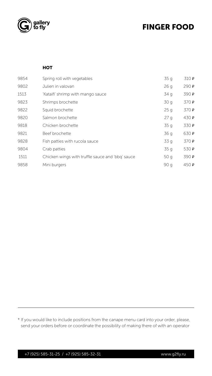



### FINGER FOOD

#### **HOT**

| 9854 | Spring roll with vegetables                    | 35 g | 310 P |
|------|------------------------------------------------|------|-------|
| 9802 | Julien in valovan                              | 26q  | 290 P |
| 1513 | 'Kataifi' shrimp with mango sauce              | 34 g | 390 P |
| 9823 | Shrimps brochette                              | 30q  | 370 P |
| 9822 | Squid brochette                                | 25q  | 370 P |
| 9820 | Salmon brochette                               | 27q  | 430 P |
| 9818 | Chicken brochette                              | 35q  | 330 P |
| 9821 | Beef brochette                                 | 36 g | 630 P |
| 9828 | Fish patties with rucola sauce                 | 33q  | 370 P |
| 9804 | Crab patties                                   | 35q  | 530 P |
| 1511 | Chicken wings with truffle sauce and bbq sauce | 50q  | 390 P |
| 9858 | Mini burgers                                   | 90 g | 450 P |

\* If you would like to include positions from the canape menu card into your order, please, send your orders before or coordinate the possibility of making there of with an operator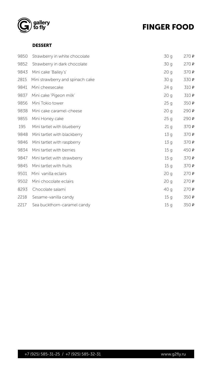



### FINGER FOOD

### DESSERT

| 9850 | Strawberry in white chocolate    | 30 g            | 270P  |
|------|----------------------------------|-----------------|-------|
| 9852 | Strawberry in dark chocolate     | 30q             | 270P  |
| 9843 | Mini cake 'Bailey's'             | 20q             | 370P  |
| 2815 | Mini strawberry and spinach cake | 30q             | 330P  |
| 9841 | Mini cheesecake                  | 24q             | 310P  |
| 9837 | Mini cake 'Pigeon milk'          | 20q             | 310P  |
| 9856 | Mini Tokio tower                 | 25q             | 350 P |
| 9838 | Mini cake caramel-cheese         | 20q             | 290P  |
| 9855 | Mini Honey cake                  | 25q             | 290P  |
| 195  | Mini tartlet with blueberry      | 21q             | 370P  |
| 9848 | Mini tartlet with blackberry     | 13q             | 370P  |
| 9846 | Mini tartlet with raspberry      | 13 <sub>q</sub> | 370 P |
| 9834 | Mini tartlet with berries        | 15 <sub>q</sub> | 450P  |
| 9847 | Mini tartlet with strawberry     | 15q             | 370P  |
| 9845 | Mini tartlet with fruits         | 15q             | 370P  |
| 9501 | Mini vanilla eclairs             | 20q             | 270P  |

| 9502 Mini chocolate eclairs      | $20q$ $270P$         |  |
|----------------------------------|----------------------|--|
| 8293 Chocolate salami            | 40 g $270 \text{ P}$ |  |
| 2218 Sesame-vanilla candy        | $15q$ 350 <b>P</b>   |  |
| 2217 Sea buckthorn-caramel candy | $15q$ 350 <b>P</b>   |  |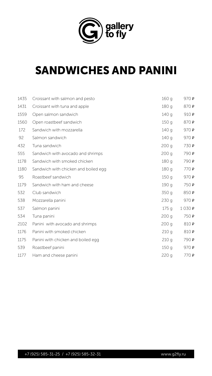

| 1435   | Croissant with salmon and pesto      | 160 g            | 970P                |
|--------|--------------------------------------|------------------|---------------------|
| 1431   | Croissant with tuna and apple        | 180 g            | 870₽                |
| 1559   | Open salmon sandwich                 | 140 g            | 910P                |
| 1560   | Open roastbeef sandwich              | 150q             | 870 P               |
| 172    | Sandwich with mozzarella             | 140 g            | 970P                |
| 92     | Salmon sandwich                      | 140 g            | 970P                |
| 432    | Tuna sandwich                        | 200q             | 730 P               |
| 555    | Sandwich with avocado and shrimps    | 200q             | 790 P               |
| 1178   | Sandwich with smoked chicken         | 180 g            | 790 P               |
| 1180   | Sandwich with chicken and boiled egg | 180 g            | 770P                |
| $\cap$ | Doacthoof candwich                   | 150 <sub>2</sub> | $\Omega$ ת $\Omega$ |

| 95   | Roastbeef sandwich                 | 150 g | 970P  |
|------|------------------------------------|-------|-------|
| 1179 | Sandwich with ham and cheese       | 190 g | 750 P |
| 532  | Club sandwich                      | 350 g | 850₽  |
| 538  | Mozzarella panini                  | 230g  | 970P  |
| 537  | Salmon panini                      | 175q  | 1030P |
| 534  | Tuna panini                        | 200q  | 750 P |
| 2102 | Panini with avocado and shrimps    | 200q  | 810 P |
| 1176 | Panini with smoked chicken         | 210q  | 810 P |
| 1175 | Panini with chicken and boiled egg | 210q  | 790 P |
| 539  | Roastbeef panini                   | 150q  | 970P  |
| 1177 | Ham and cheese panini              | 220q  | 770 P |



## SANDWICHES AND PANINI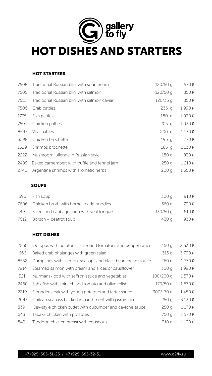

### HOT STARTERS

| 7508 | Traditional Russian blini with sour cream    | 120/50 g   | 570 P  |
|------|----------------------------------------------|------------|--------|
| 7505 | Traditional Russian blini with salmon        | 120/50 g   | 850₽   |
| 7515 | Traditional Russian blini with salmon caviar | $120/35$ q | 850₽   |
| 7506 | Crab patties                                 | 235q       | 1990 P |
| 1775 | Fish patties                                 | 180 g      | 1030P  |
| 7507 | Chicken patties                              | $205$ g    | 1030P  |
| 8597 | Veal patties                                 | $200$ g    | 1130P  |
| 8598 | Chicken brochette                            | 195 g      | 770P   |
| 1329 | Shrimps brochette                            | 185 g      | 1130P  |
| 2222 | Mushroom julienne in Russian style           | 180 g      | 830 P  |
| 2499 | Baked camembert with truffle and fennel jam  | 250g       | 1210P  |
| 2746 | Argentine shrimps with aromatic herbs        | 200q       | 1550P  |

### SOUPS

| 596  | Fish soup                                                  | 300 g     | 910P   |
|------|------------------------------------------------------------|-----------|--------|
| 7606 | Chicken broth with home-made noodles                       | 360 g     | 790 P  |
| 49   | Sorrel and cabbage soup with yeal tongue                   | 330/50 g  | 810 P  |
| 7612 | Borsch – beetrot soup                                      | 430 g     | 930 P  |
|      | <b>HOT DISHES</b>                                          |           |        |
| 2560 | Octopus with potatoes, sun-dried tomatoes and pepper sauce | 450 g     | 2630P  |
| 666  | Baked crab phalanges with green salad                      | 315q      | 3790P  |
| 8552 | Dumplings with salmon, scallops and black bean cream sauce | 260q      | 1770P  |
| 7914 | Steamed salmon with cream and slices of cauliflower        | 300 g     | 1990 P |
| 521  | Murmansk cod with saffron sauce and vegetables             | 180/200 g | 1570P  |
| 2460 | Sablefish with spinach and tomato and olive relish         | 170/50q   | 1670P  |
| 2219 | Flounder steak with young potatoes and tartar sauce        | 300/170 g | 1450P  |
| 2047 | Chilean seabass backed in parchment with jasmin rice       | 250q      | 3130P  |
| 839  | Kiev-style chicken cutlet with cucumber and ceviche sauce  | 250q      | 1170P  |
| 643  | Tabaka chicken with potatoes                               | 750 g     | 1570P  |
| 849  | Tandoori chicken breast with couscous                      | 310 g     | 1190P  |

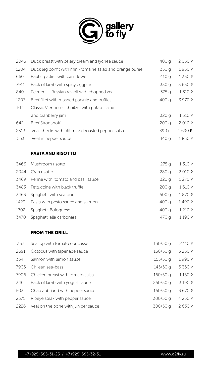

| 2043 | Duck breast with celery cream and lychee sauce           | 400 g | 2050P  |
|------|----------------------------------------------------------|-------|--------|
| 1204 | Duck leg confit with mini-romaine salad and orange puree | 350 g | 1930 P |
| 660  | Rabbit patties with cauliflower                          | 410q  | 1330P  |
| 7911 | Rack of lamb with spicy eggplant                         | 330 g | 3630P  |
| 840  | Pelmeni – Russian ravioli with chopped veal              | 375q  | 1310P  |
| 1203 | Beef fillet with mashed parsnip and truffles             | 400 g | 3970P  |
| 514  | Classic Viennese schnitzel with potato salad             |       |        |
|      | and cranberry jam                                        | 320 g | 1510P  |
| 642  | <b>Beef Stroganoff</b>                                   | 200q  | 2010P  |
| 2313 | Veal cheeks with ptitim and roasted pepper salsa         | 390 g | 1690 P |
| 553  | Veal in pepper sauce                                     | 440 g | 1830 P |
|      |                                                          |       |        |



### PASTA AND RISOTTO

| 3466 Mushroom risotto | $275q$ $1310P$ |  |
|-----------------------|----------------|--|
| 2044 Crab risotto     | $280q$ $2010P$ |  |

| 3469 Penne with tomato and basil sauce | $320 g$ $1270 P$ |       |
|----------------------------------------|------------------|-------|
| 3483 Fettuccine with black truffle     | 200 g            | 1610P |
| 3463 Spaghetti with seafood            | 500 g $1870P$    |       |
| 1429 Pasta with pesto sauce and salmon | 400 g $1490P$    |       |
| 1702 Spaghetti Bolognese               | 400 g $1210P$    |       |
| 3470 Spaghetti alla carbonara          | 470 g $1190P$    |       |

#### FROM THE GRILL

| 337  | Scallop with tomato concassé        | 130/50 g   | 2110P     |
|------|-------------------------------------|------------|-----------|
| 2691 | Octopus with tapenade sauce         | 130/50 g   | 3 2 3 0 P |
| 334  | Salmon with lemon sauce             | $155/50$ g | 1990 P    |
| 7905 | Chilean sea-bass                    | $145/50$ q | 5350P     |
| 7906 | Chicken breast with tomato salsa    | $160/50$ g | 1150P     |
| 340  | Rack of lamb with yogurt sauce      | $250/50$ g | 3190P     |
| 503  | Chateaubriand with pepper sauce     | $160/50$ g | 3670P     |
| 2371 | Ribeye steak with pepper sauce      | 300/50 g   | 4250P     |
| 2226 | Veal on the bone with juniper sauce | 300/50 g   | 2630P     |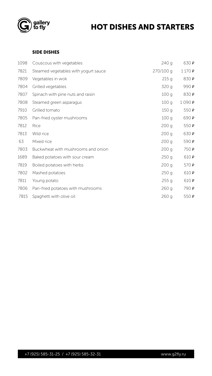



### HOT DISHES AND STARTERS

#### SIDE DISHES

| 1098 | Couscous with vegetables             | 240 g            | 630 P |
|------|--------------------------------------|------------------|-------|
| 7821 | Steamed vegetables with yogurt sauce | 270/100 g        | 1170P |
| 7809 | Vegetables in wok                    | 215q             | 830 P |
| 7804 | Grilled vegetables                   | 320 g            | 990 P |
| 7807 | Spinach with pine nuts and raisin    | 100q             | 830 P |
| 7808 | Steamed green asparagus              | 100q             | 1090P |
| 7910 | Grilled tomato                       | 150q             | 550 P |
| 7805 | Pan-fried oyster mushrooms           | 100q             | 690 P |
| 7812 | <b>Rice</b>                          | 200q             | 550P  |
| 7813 | Wild rice                            | 200q             | 630 P |
| 63   | Mixed rice                           | 200 <sub>g</sub> | 590 P |
| 7803 | Buckwheat with mushrooms and onion   | 200q             | 750 P |
| 1689 | Baked potatoes with sour cream       | 250q             | 610P  |
| 7819 | Boiled potatoes with herbs           | 200q             | 570P  |
| 7802 | Mashed potatoes                      | 250q             | 610P  |

| 7811 Young potato                      | $255q$ 610 P        |  |
|----------------------------------------|---------------------|--|
| 7806 Pan-fried potatoes with mushrooms | 260 g 790 P         |  |
| 7815 Spaghetti with olive oil          | $260q$ 550 <b>P</b> |  |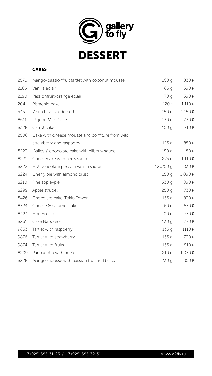



DESSERT

### CAKES

| 2570 | Mango-passionfruit tartlet with coconut mousse  | 160 g    | 830 P |
|------|-------------------------------------------------|----------|-------|
| 2185 | Vanilla eclair                                  | 65q      | 390 P |
| 2190 | Passionfruit-orange éclair                      | 70 g     | 390 P |
| 204  | Pistachio cake                                  | 120 г    | 1110P |
| 545  | 'Anna Pavlova' dessert                          | 150q     | 1150P |
| 8611 | 'Pigeon Milk' Cake                              | 130q     | 730 P |
| 8328 | Carrot cake                                     | 150q     | 710P  |
| 2506 | Cake with cheese mousse and confiture from wild |          |       |
|      | strawberry and raspberry                        | 125g     | 850 P |
| 8223 | "Bailey's' chocolate cake with bilberry sauce"  | 180 g    | 1150P |
| 8221 | Cheesecake with berry sauce                     | 275q     | 1110P |
| 8222 | Hot chocolate pie with vanilla sauce            | 120/50 g | 830 P |
| 8224 | Cherry pie with almond crust                    | 150q     | 1090P |
| 8210 | Fine apple-pie                                  | 330 g    | 890 P |
| 8299 | Apple strudel                                   | 250q     | 730 P |
| 8426 | Chocolate cake 'Tokio Tower'                    | 155q     | 830 P |
| 8324 | Cheese & caramel cake                           | 60q      | 570P  |
| 8424 | Honey cake                                      | 200q     | 770P  |
| 8261 | Cake Napoleon                                   | 130q     | 770P  |
| 9853 | Tartlet with raspberry                          | 135q     | 1110P |
| 9876 | Tartlet with strawberry                         | 135q     | 790 P |
| 9874 | Tartlet with fruits                             | 135q     | 810 P |
| 8209 | Pannacotta with berries                         | 210 g    | 1070P |
| 8228 | Mango mousse with passion fruit and biscuits    | 230g     | 850 P |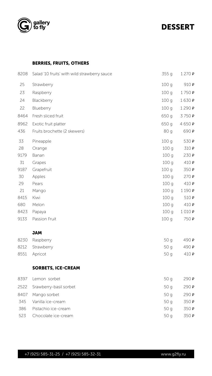



### DESSERT

### BERRIES, FRUITS, OTHERS

| 8208 | Salad 10 fruits' with wild strawberry sauce | 355 g            | 1270P    |
|------|---------------------------------------------|------------------|----------|
| 25   | Strawberry                                  | 100q             | 910 P    |
| 23   | Raspberry                                   | 100q             | 1750P    |
| 24   | Blackberry                                  | 100q             | 1630P    |
| 22   | Blueberry                                   | 100q             | 1290P    |
| 8464 | Fresh sliced fruit                          | 650 g            | 3750P    |
| 8962 | Exotic fruit platter                        | 650 g            | 4650 $P$ |
| 436  | Fruits brochette (2 skewers)                | 80 g             | 690 P    |
| 33   | Pineapple                                   | 100q             | 530 P    |
| 28   | Orange                                      | 100q             | 310 P    |
| 9179 | Banan                                       | 100q             | 230P     |
| 31   | Grapes                                      | 100 <sub>q</sub> | 410P     |
| 9187 | Grapefruit                                  | 100 <sub>g</sub> | 350 P    |
| 30   | Apples                                      | 100 <sub>g</sub> | 270P     |
| 29   | Pears                                       | 100g             | 410P     |
| 21   | Mango                                       | 100q             | 1190P    |
| 8415 | Kiwi                                        | 100q             | 510P     |
| 680  | Melon                                       | 100 <sub>g</sub> | 410P     |
| 8423 | Papaya                                      | 100q             | 1010P    |
| 9133 | Passion Fruit                               | 100q             | 750 P    |
|      |                                             |                  |          |

#### JAM

| 8230 Raspberry  | 50 g $490P$          |  |
|-----------------|----------------------|--|
| 8212 Strawberry | 50 g $490P$          |  |
| 8551 Apricot    | 50 g $410 \text{ P}$ |  |

### SORBETS, ICE-CREAM

| 8397 | Lemon sorbet                | 50q | 290P |
|------|-----------------------------|-----|------|
|      | 2522 Srawberry-basil sorbet | 50q | 290P |
| 8407 | Mango sorbet                | 50q | 290P |
| 345  | Vanilla ice-cream           | 50q | 350P |
| 386  | Pistachio ice-cream         | 50q | 350P |
| 523  | Chocolate ice-cream         | 50q | 350P |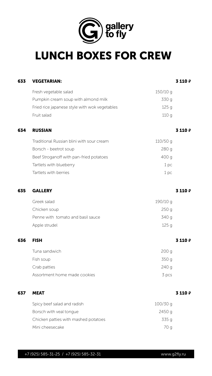

| 633 | <b>VEGETARIAN:</b>                            |            | 3 110 P |
|-----|-----------------------------------------------|------------|---------|
|     | Fresh vegetable salad                         | $150/10$ g |         |
|     | Pumpkin cream soup with almond milk           | 330 g      |         |
|     | Fried rice japanese style with wok vegetables | 125q       |         |
|     | Fruit salad                                   | 110q       |         |
| 634 | <b>RUSSIAN</b>                                |            | 3 110 P |
|     | Traditional Russian blini with sour cream     | $110/50$ g |         |
|     | Borsch - beetrot soup                         | 280q       |         |
|     | Beef Stroganoff with pan-fried potatoes       | 400 g      |         |
|     | Tartlets with blueberry                       | 1pc        |         |
|     | Tartlets with berries                         | 1 pc       |         |

| 635 | <b>GALLERY</b>                       |          | 3110P   |
|-----|--------------------------------------|----------|---------|
|     | Greek salad                          | 190/10 g |         |
|     | Chicken soup                         | 250g     |         |
|     | Penne with tomato and basil sauce    | 340 g    |         |
|     | Apple strudel                        | 125g     |         |
| 636 | <b>FISH</b>                          |          | 3110P   |
|     | Tuna sandwich                        | 200q     |         |
|     | Fish soup                            | 350 g    |         |
|     | Crab patties                         | 240q     |         |
|     | Assortment home made cookies         | 3 pcs    |         |
| 637 | <b>MEAT</b>                          |          | 3 110 P |
|     | Spicy beef salad and radish          | 100/30 g |         |
|     | Borsch with veal tongue              | 2450 g   |         |
|     | Chicken patties with mashed potatoes | 335 g    |         |
|     | Mini cheesecake                      | 70 g     |         |



## LUNCH BOXES FOR CREW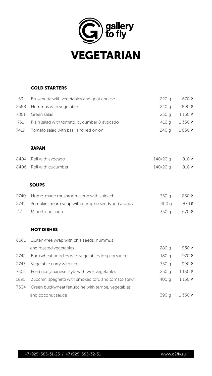

### COLD STARTERS

| 53 | Bruschetta with vegetables and goat cheese      | 220 g                      | 670 P |
|----|-------------------------------------------------|----------------------------|-------|
|    | 2588 Hummus with vegetables                     | $240q$ 890 <b>P</b>        |       |
|    | 7801 Green salad                                | $230q$ $1150P$             |       |
|    | 751 Plain salad with tomato, cucumber & avocado | 410 g $1\,350\,\mathrm{P}$ |       |
|    | 7419 Tomato salad with basil and red onion      | $240q$ 1050 P              |       |

### **JAPAN**

| 8404 Roll with avocado  | 140/20 g 810 P |  |
|-------------------------|----------------|--|
| 8406 Roll with cucumber | 140/20 g 810 P |  |

### SOUPS

| 2740 | Home-made mushroom soup with spinach                | 350 g | 850 P |
|------|-----------------------------------------------------|-------|-------|
| 2741 | Pumpkin cream soup with pumpkin seeds and arugula   | 400 g | 870 P |
| 47   | Minestrope soup                                     | 350 g | 670 P |
|      |                                                     |       |       |
|      | <b>HOT DISHES</b>                                   |       |       |
| 8566 | Gluten-free wrap with chia seeds, hummus            |       |       |
|      | and roasted vegetables                              | 280 g | 930 P |
| 2742 | Buckwheat noodles with vegetables in spicy sauce    | 180 g | 970P  |
| 2743 | Vegetable curry with rice                           | 350 g | 990 P |
| 7504 | Fried rice japanese style with wok vegetables       | 250q  | 1130P |
| 1891 | Zucchini spaghetti with smoked tofu and tomato stew | 400 g | 1150P |
| 7504 | Green buckwheat fettuccine with tempe, vegetables   |       |       |
|      | and coconut sauce                                   | 390 g | 1350P |



## VEGETARIAN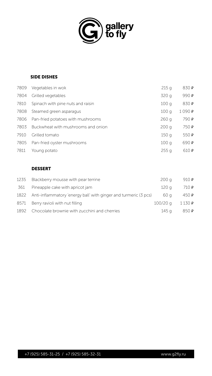



### SIDE DISHES

| 7809 | Vegetables in wok                  | 215q  | 830 P |
|------|------------------------------------|-------|-------|
| 7804 | Grilled vegetables                 | 320 g | 990 P |
| 7810 | Spinach with pine nuts and raisin  | 100q  | 830 P |
| 7808 | Steamed green asparagus            | 100q  | 1090P |
| 7806 | Pan-fried potatoes with mushrooms  | 260q  | 790 P |
| 7803 | Buckwheat with mushrooms and onion | 200q  | 750 P |
| 7910 | Grilled tomato                     | 150q  | 550 P |
| 7805 | Pan-fried oyster mushrooms         | 100q  | 690 P |
| 7811 | Young potato                       | 255q  | 610 P |



| 1235 | Blackberry mousse with pear terrine                                 | 200q       | 910 $\,P$ |
|------|---------------------------------------------------------------------|------------|-----------|
|      | 361 Pineapple cake with apricot jam                                 | 120 g      | 710P      |
|      | 1822 Anti-inflammatory energy ball with ginger and turmeric (3 pcs) | 60 a       | 450P      |
| 8571 | Berry ravioli with nut filling                                      | $100/20$ g | 1130P     |
| 1892 | Chocolate brownie with zucchini and cherries                        | 145 a      | 850P      |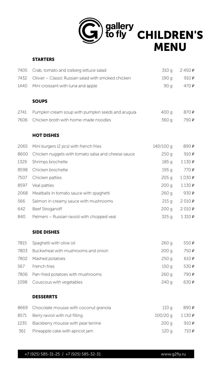

### STARTERS

| 7405 | Crab, tomato and iceberg lettuce salad                  | 310 g     | 2450P               |
|------|---------------------------------------------------------|-----------|---------------------|
| 7432 | Olivier – Classic Russian salad with smoked chicken     | 190 g     | 910P                |
| 1440 | Mini croissant with tuna and apple                      | 90 g      | 470P                |
|      | <b>SOUPS</b>                                            |           |                     |
| 2741 | Pumpkin cream soup with pumpkin seeds and arugula       | 400 g     | 870 P               |
| 7606 | Chicken broth with home-made noodles                    | 360 g     | 790 P               |
|      | <b>HOT DISHES</b>                                       |           |                     |
| 2065 | Mini burgers (2 pcs) with french fries                  | 140/100 g | 890 P               |
|      | 8600 Chicken nuggets with tomato salsa and cheese sauce | 250g      | 910P                |
| 1329 | Shrimps brochette                                       | 185 g     | 1130P               |
| 8598 | Chicken brochette                                       | 195 g     | 770P                |
| 7507 | Chicken natties                                         | 205a      | $1$ $0$ $3$ $0$ $p$ |

| 7507 | Chicken patties                             | 205q       | 1030P |
|------|---------------------------------------------|------------|-------|
| 8597 | Veal patties                                | 200q       | 1130P |
| 2068 | Meatballs in tomato sauce with spaghetti    | 260q       | 930 P |
| 566  | Salmon in creamy sauce with mushrooms       | 215q       | 2010P |
| 642  | <b>Beef Stroganoff</b>                      | 200q       | 2010P |
| 840  | Pelmeni – Russian ravioli with chopped veal | 325 g      | 1310P |
|      | <b>SIDE DISHES</b>                          |            |       |
| 7815 | Spaghetti with olive oil                    | 260q       | 550P  |
| 7803 | Buckwheat with mushrooms and onion          | 200q       | 750 P |
| 7802 | Mashed potatoes                             | 250q       | 610 P |
| 567  | French fries                                | 150q       | 530 P |
| 7806 | Pan-fried potatoes with mushrooms           | 260q       | 790 P |
| 1098 | Couscous with vegetables                    | 240q       | 630 P |
|      | <b>DESSERRTS</b>                            |            |       |
| 8669 | Chocolate mousse with coconut granola       | 110q       | 890 P |
| 8571 | Berry ravioli with nut filling              | $100/20$ g | 1130P |

1235 Blackberry mousse with pear terrine 200 g 910 **P** 361 Pineapple cake with apricot jam 120 g 710 **P** 

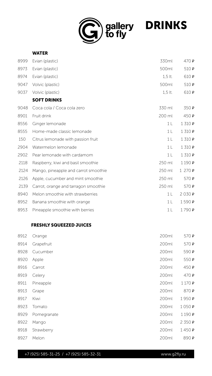

| <b>WATER</b> |
|--------------|
|--------------|

| 8999 | Evian (plastic)                      | 330ml          | 470P    |
|------|--------------------------------------|----------------|---------|
| 8973 | Evian (plastic)                      | 500ml          | 510 P   |
| 8974 | Evian (plastic)                      | $1,5$ lt.      | 610 P   |
| 9047 | Volvic (plastic)                     | 500ml          | 510 P   |
| 9037 | Volvic (plastic)                     | $1,5$ lt.      | 610 P   |
|      | <b>SOFT DRINKS</b>                   |                |         |
| 9048 | Coca cola / Coca cola zero           | 330 ml         | 350 P   |
| 8901 | Fruit drink                          | 200 ml         | 450 P   |
| 8556 | Ginger lemonade                      | 1 <sub>L</sub> | 1 310 P |
| 8555 | Home-made classic lemonade           | 1 <sub>L</sub> | 1310P   |
| 150  | Citrus lemonade with passion fruit   | 1 <sub>l</sub> | 1310P   |
| 2904 | Watermelon lemonade                  | 1 <sub>l</sub> | 1 310 P |
| 2902 | Pear lemonade with cardamom          | 1 <sub>L</sub> | 1310P   |
| 2118 | Raspberry, kiwi and basil smoothie   | 250 ml         | 1190P   |
| 2124 | Mango, pineapple and carrot smoothie | 250 ml         | 1270P   |

| 2126 Apple, cucumber and mint smoothie    | 250 ml                        | 570 $\mathbf{P}$  |
|-------------------------------------------|-------------------------------|-------------------|
| 2139 Carrot, orange and tarragon smoothie | $250 \text{ ml}$ 570 <b>P</b> |                   |
| 8940 Melon smoothie with strawberries     |                               | 1 $(2030)$ $P$    |
| 8952 Banana smoothie with orange          |                               | 1 L 1590 P        |
| 8953 Pineapple smoothie with berries      |                               | 1   1790 <b>P</b> |

#### FRESHLY SQUEEZED JUICES

| 8912 | Orange      | 200ml | 570 P |
|------|-------------|-------|-------|
| 8914 | Grapefruit  | 200ml | 570 P |
| 8928 | Cucumber    | 200ml | 590 P |
| 8920 | Apple       | 200ml | 550 P |
| 8916 | Carrot      | 200ml | 450 P |
| 8919 | Celery      | 200ml | 470 P |
| 8911 | Pineapple   | 200ml | 1170P |
| 8913 | Grape       | 200ml | 870 P |
| 8917 | Kiwi        | 200ml | 1950₽ |
| 8923 | Tomato      | 200ml | 1050P |
| 8929 | Pomegranate | 200ml | 1190P |
| 8922 | Mango       | 200ml | 2350P |
| 8918 | Strawberry  | 200ml | 1450P |
| 8927 | Melon       | 200ml | 890 P |